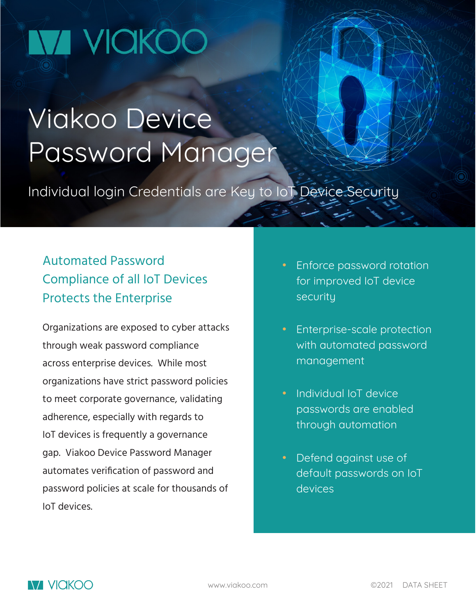# VI VICIKOC

## Viakoo Device Password Manager

Individual login Credentials are Key to IoT Device Security

## Automated Password Compliance of all IoT Devices Protects the Enterprise

Organizations are exposed to cyber attacks through weak password compliance across enterprise devices. While most organizations have strict password policies to meet corporate governance, validating adherence, especially with regards to IoT devices is frequently a governance gap. Viakoo Device Password Manager automates verification of password and password policies at scale for thousands of IoT devices.

- Enforce password rotation for improved IoT device security
- Enterprise-scale protection with automated password management
- Individual IoT device passwords are enabled through automation
- Defend against use of default passwords on IoT devices<sup>'</sup>

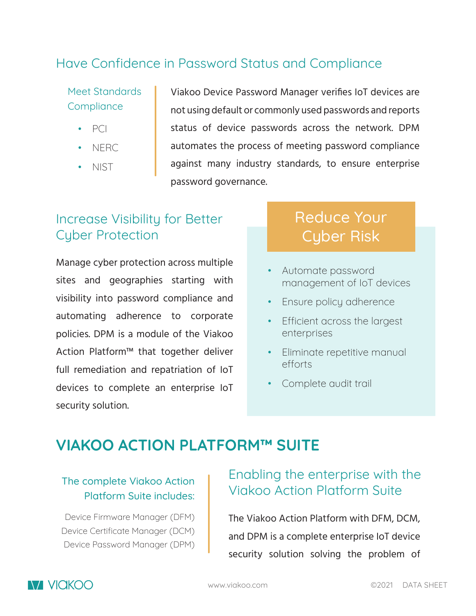### Have Confidence in Password Status and Compliance

Meet Standards **Compliance** 

- PCI
- NERC
- NIST

Viakoo Device Password Manager verifies IoT devices are not using default or commonly used passwords and reports status of device passwords across the network. DPM automates the process of meeting password compliance against many industry standards, to ensure enterprise password governance.

## Increase Visibility for Better Cyber Protection

Manage cyber protection across multiple sites and geographies starting with visibility into password compliance and automating adherence to corporate policies. DPM is a module of the Viakoo Action Platform™ that together deliver full remediation and repatriation of IoT devices to complete an enterprise IoT security solution.

## Reduce Your Cyber Risk

- Automate password management of IoT devices
- Ensure policy adherence
- Efficient across the largest enterprises
- Eliminate repetitive manual efforts
- Complete audit trail

## **VIAKOO ACTION PLATFORM™ SUITE**

#### The complete Viakoo Action Platform Suite includes:

Device Firmware Manager (DFM) Device Certificate Manager (DCM) Device Password Manager (DPM)

## Enabling the enterprise with the Viakoo Action Platform Suite

The Viakoo Action Platform with DFM, DCM, and DPM is a complete enterprise IoT device security solution solving the problem of

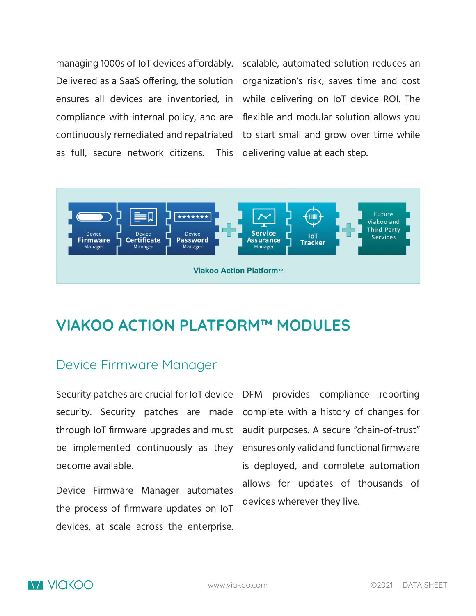managing 1000s of IoT devices affordably. compliance with internal policy, and are continuously remediated and repatriated as full, secure network citizens. This

Delivered as a SaaS offering, the solution organization's risk, saves time and cost ensures all devices are inventoried, in while delivering on IoT device ROI. The scalable, automated solution reduces an flexible and modular solution allows you to start small and grow over time while delivering value at each step.



## **VIAKOO ACTION PLATFORM™ MODULES**

#### Device Firmware Manager

Security patches are crucial for IoT device DFM provides compliance reporting security. Security patches are made through IoT firmware upgrades and must be implemented continuously as they become available.

Device Firmware Manager automates the process of firmware updates on IoT devices, at scale across the enterprise.

complete with a history of changes for audit purposes. A secure "chain-of-trust" ensures only valid and functional firmware is deployed, and complete automation allows for updates of thousands of devices wherever they live.